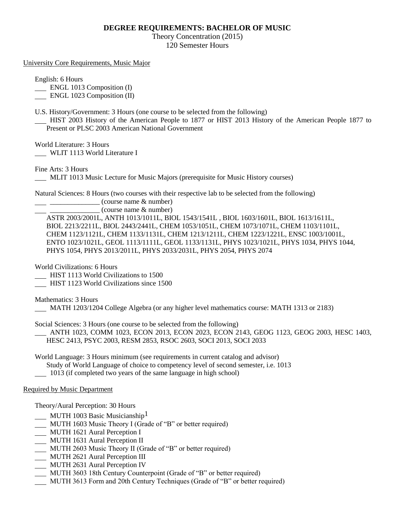## **DEGREE REQUIREMENTS: BACHELOR OF MUSIC**

Theory Concentration (2015) 120 Semester Hours

University Core Requirements, Music Major

English: 6 Hours

**ENGL 1013 Composition (I)** 

ENGL 1023 Composition (II)

U.S. History/Government: 3 Hours (one course to be selected from the following)

 HIST 2003 History of the American People to 1877 or HIST 2013 History of the American People 1877 to Present or PLSC 2003 American National Government

World Literature: 3 Hours

WLIT 1113 World Literature I

Fine Arts: 3 Hours

MLIT 1013 Music Lecture for Music Majors (prerequisite for Music History courses)

Natural Sciences: 8 Hours (two courses with their respective lab to be selected from the following)

 $\equiv$  (course name  $\&$  number)

\_\_\_\_\_\_\_\_\_\_\_\_\_\_ (course name & number)

ASTR 2003/2001L, ANTH 1013/1011L, BIOL 1543/1541L , BIOL 1603/1601L, BIOL 1613/1611L, BIOL 2213/2211L, BIOL 2443/2441L, CHEM 1053/1051L, CHEM 1073/1071L, CHEM 1103/1101L, CHEM 1123/1121L, CHEM 1133/1131L, CHEM 1213/1211L, CHEM 1223/1221L, ENSC 1003/1001L, ENTO 1023/1021L, GEOL 1113/1111L, GEOL 1133/1131L, PHYS 1023/1021L, PHYS 1034, PHYS 1044, PHYS 1054, PHYS 2013/2011L, PHYS 2033/2031L, PHYS 2054, PHYS 2074

World Civilizations: 6 Hours

HIST 1113 World Civilizations to 1500

HIST 1123 World Civilizations since 1500

Mathematics: 3 Hours

MATH 1203/1204 College Algebra (or any higher level mathematics course: MATH 1313 or 2183)

Social Sciences: 3 Hours (one course to be selected from the following)

 ANTH 1023, COMM 1023, ECON 2013, ECON 2023, ECON 2143, GEOG 1123, GEOG 2003, HESC 1403, HESC 2413, PSYC 2003, RESM 2853, RSOC 2603, SOCI 2013, SOCI 2033

World Language: 3 Hours minimum (see requirements in current catalog and advisor) Study of World Language of choice to competency level of second semester, i.e. 1013 1013 (if completed two years of the same language in high school)

## Required by Music Department

Theory/Aural Perception: 30 Hours

- $MUTH$  1003 Basic Musicianship<sup>1</sup>
- MUTH 1603 Music Theory I (Grade of "B" or better required)
- MUTH 1621 Aural Perception I
- MUTH 1631 Aural Perception II
- MUTH 2603 Music Theory II (Grade of "B" or better required)
- MUTH 2621 Aural Perception III
- **MUTH 2631 Aural Perception IV**
- MUTH 3603 18th Century Counterpoint (Grade of "B" or better required)
- MUTH 3613 Form and 20th Century Techniques (Grade of "B" or better required)